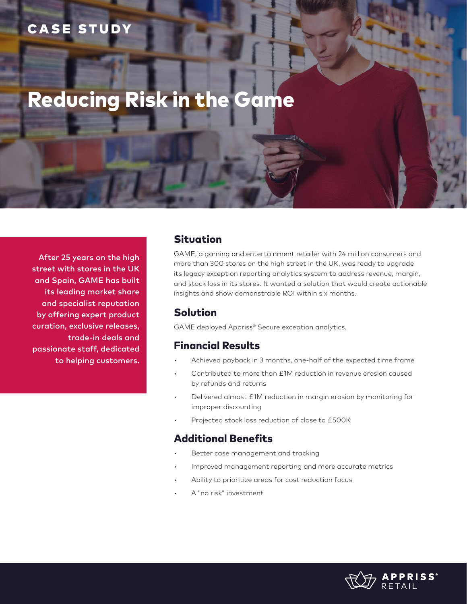## CASE STUDY

# Reducing Risk in the Game

After 25 years on the high street with stores in the UK and Spain, GAME has built its leading market share and specialist reputation by offering expert product curation, exclusive releases, trade-in deals and passionate staff, dedicated to helping customers.

#### Situation

GAME, a gaming and entertainment retailer with 24 million consumers and more than 300 stores on the high street in the UK, was ready to upgrade its legacy exception reporting analytics system to address revenue, margin, and stock loss in its stores. It wanted a solution that would create actionable insights and show demonstrable ROI within six months.

#### Solution

GAME deployed Appriss® Secure exception analytics.

#### Financial Results

- Achieved payback in 3 months, one-half of the expected time frame
- Contributed to more than £1M reduction in revenue erosion caused by refunds and returns
- Delivered almost £1M reduction in margin erosion by monitoring for improper discounting
- Projected stock loss reduction of close to £500K

#### Additional Benefits

- Better case management and tracking
- Improved management reporting and more accurate metrics
- Ability to prioritize areas for cost reduction focus
- A "no risk" investment